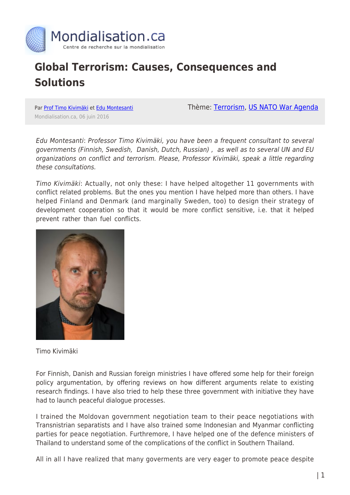

## **Global Terrorism: Causes, Consequences and Solutions**

Par [Prof Timo Kivimäki](https://www.mondialisation.ca/author/timo) et [Edu Montesanti](https://www.mondialisation.ca/author/edu-montesanti) Mondialisation.ca, 06 juin 2016

Thème: [Terrorism](https://www.mondialisation.ca/theme/9-11-war-on-terrorism), [US NATO War Agenda](https://www.mondialisation.ca/theme/us-nato-war-agenda)

Edu Montesanti: Professor Timo Kivimäki, you have been a frequent consultant to several governments (Finnish, Swedish, Danish, Dutch, Russian) , as well as to several UN and EU organizations on conflict and terrorism. Please, Professor Kivimäki, speak a little regarding these consultations.

Timo Kivimäki: Actually, not only these: I have helped altogether 11 governments with conflict related problems. But the ones you mention I have helped more than others. I have helped Finland and Denmark (and marginally Sweden, too) to design their strategy of development cooperation so that it would be more conflict sensitive, i.e. that it helped prevent rather than fuel conflicts.



Timo Kivimäki

For Finnish, Danish and Russian foreign ministries I have offered some help for their foreign policy argumentation, by offering reviews on how different arguments relate to existing research findings. I have also tried to help these three government with initiative they have had to launch peaceful dialogue processes.

I trained the Moldovan government negotiation team to their peace negotiations with Transnistrian separatists and I have also trained some Indonesian and Myanmar conflicting parties for peace negotiation. Furthremore, I have helped one of the defence ministers of Thailand to understand some of the complications of the conflict in Southern Thailand.

All in all I have realized that many goverments are very eager to promote peace despite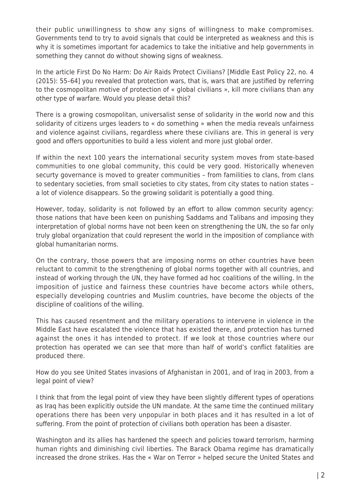their public unwillingness to show any signs of willingness to make compromises. Governments tend to try to avoid signals that could be interpreted as weakness and this is why it is sometimes important for academics to take the initiative and help governments in something they cannot do without showing signs of weakness.

In the article First Do No Harm: Do Air Raids Protect Civilians? [Middle East Policy 22, no. 4 (2015): 55–64] you revealed that protection wars, that is, wars that are justified by referring to the cosmopolitan motive of protection of « global civilians », kill more civilians than any other type of warfare. Would you please detail this?

There is a growing cosmopolitan, universalist sense of solidarity in the world now and this solidarity of citizens urges leaders to « do something » when the media reveals unfairness and violence against civilians, regardless where these civilians are. This in general is very good and offers opportunities to build a less violent and more just global order.

If within the next 100 years the international security system moves from state-based communities to one global community, this could be very good. Historically wheneven securty governance is moved to greater communities – from familities to clans, from clans to sedentary societies, from small societies to city states, from city states to nation states – a lot of violence disappears. So the growing solidarit is potentially a good thing.

However, today, solidarity is not followed by an effort to allow common security agency: those nations that have been keen on punishing Saddams and Talibans and imposing they interpretation of global norms have not been keen on strengthening the UN, the so far only truly global organization that could represent the world in the imposition of compliance with global humanitarian norms.

On the contrary, those powers that are imposing norms on other countries have been reluctant to commit to the strengthening of global norms together with all countries, and instead of working through the UN, they have formed ad hoc coalitions of the willing. In the imposition of justice and fairness these countries have become actors while others, especially developing countries and Muslim countries, have become the objects of the discipline of coalitions of the willing.

This has caused resentment and the military operations to intervene in violence in the Middle East have escalated the violence that has existed there, and protection has turned against the ones it has intended to protect. If we look at those countries where our protection has operated we can see that more than half of world's conflict fatalities are produced there.

How do you see United States invasions of Afghanistan in 2001, and of Iraq in 2003, from a legal point of view?

I think that from the legal point of view they have been slightly different types of operations as Iraq has been explicitly outside the UN mandate. At the same time the continued military operations there has been very unpopular in both places and it has resulted in a lot of suffering. From the point of protection of civilians both operation has been a disaster.

Washington and its allies has hardened the speech and policies toward terrorism, harming human rights and diminishing civil liberties. The Barack Obama regime has dramatically increased the drone strikes. Has the « War on Terror » helped secure the United States and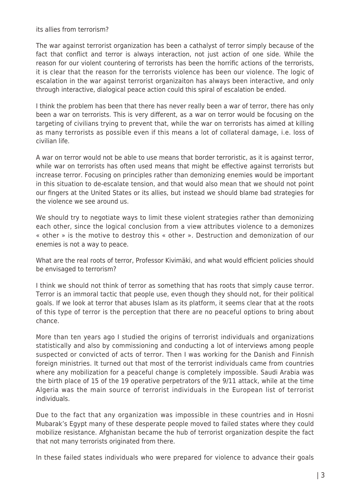its allies from terrorism?

The war against terrorist organization has been a cathalyst of terror simply because of the fact that conflict and terror is always interaction, not just action of one side. While the reason for our violent countering of terrorists has been the horrific actions of the terrorists, it is clear that the reason for the terrorists violence has been our violence. The logic of escalation in the war against terrorist organizaiton has always been interactive, and only through interactive, dialogical peace action could this spiral of escalation be ended.

I think the problem has been that there has never really been a war of terror, there has only been a war on terrorists. This is very different, as a war on terror would be focusing on the targeting of civilians trying to prevent that, while the war on terrorists has aimed at killing as many terrorists as possible even if this means a lot of collateral damage, i.e. loss of civilian life.

A war on terror would not be able to use means that border terroristic, as it is against terror, while war on terrorists has often used means that might be effective against terrorists but increase terror. Focusing on principles rather than demonizing enemies would be important in this situation to de-escalate tension, and that would also mean that we should not point our fingers at the United States or its allies, but instead we should blame bad strategies for the violence we see around us.

We should try to negotiate ways to limit these violent strategies rather than demonizing each other, since the logical conclusion from a view attributes violence to a demonizes « other » is the motive to destroy this « other ». Destruction and demonization of our enemies is not a way to peace.

What are the real roots of terror, Professor Kivimäki, and what would efficient policies should be envisaged to terrorism?

I think we should not think of terror as something that has roots that simply cause terror. Terror is an immoral tactic that people use, even though they should not, for their political goals. If we look at terror that abuses Islam as its platform, it seems clear that at the roots of this type of terror is the perception that there are no peaceful options to bring about chance.

More than ten years ago I studied the origins of terrorist individuals and organizations statistically and also by commissioning and conducting a lot of interviews among people suspected or convicted of acts of terror. Then I was working for the Danish and Finnish foreign ministries. It turned out that most of the terrorist individuals came from countries where any mobilization for a peaceful change is completely impossible. Saudi Arabia was the birth place of 15 of the 19 operative perpetrators of the 9/11 attack, while at the time Algeria was the main source of terrorist individuals in the European list of terrorist individuals.

Due to the fact that any organization was impossible in these countries and in Hosni Mubarak's Egypt many of these desperate people moved to failed states where they could mobilize resistance. Afghanistan became the hub of terrorist organization despite the fact that not many terrorists originated from there.

In these failed states individuals who were prepared for violence to advance their goals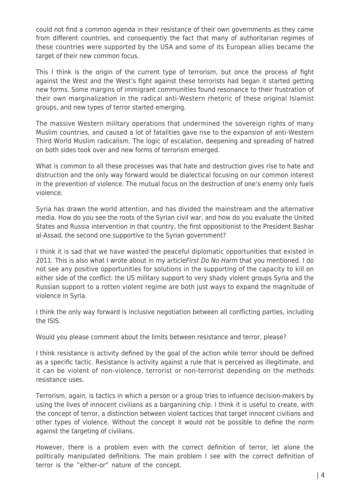could not find a common agenda in their resistance of their own governments as they came from different countries, and consequently the fact that many of authoritarian regimes of these countries were supported by the USA and some of its European allies became the target of their new common focus.

This I think is the origin of the current type of terrorism, but once the process of fight against the West and the West's fight against these terrorists had began it started getting new forms. Some margins of immigrant communities found resonance to their frustration of their own marginalization in the radical anti-Western rhetoric of these original Islamist groups, and new types of terror started emerging.

The massive Western military operations that undermined the sovereign rights of many Muslim countries, and caused a lot of fatalities gave rise to the expansion of anti-Western Third World Muslim radicalism. The logic of escalation, deepening and spreading of hatred on both sides took over and new forms of terrorism emerged.

What is common to all these processes was that hate and destruction gives rise to hate and distruction and the only way forward would be dialectical focusing on our common interest in the prevention of violence. The mutual focus on the destruction of one's enemy only fuels violence.

Syria has drawn the world attention, and has divided the mainstream and the alternative media. How do you see the roots of the Syrian civil war, and how do you evaluate the United States and Russia intervention in that country, the first oppositionist to the President Bashar al-Assad, the second one supportive to the Syrian government?

I think it is sad that we have wasted the peaceful diplomatic opportunities that existed in 2011. This is also what I wrote about in my article First Do No Harm that you mentioned. I do not see any positive opportunities for solutions in the supporting of the capacity to kill on either side of the conflict: the US military support to very shady violent groups Syria and the Russian support to a rotten violent regime are both just ways to expand the magnitude of violence in Syria.

I think the only way forward is inclusive negotiation between all conflicting parties, including the ISIS.

Would you please comment about the limits between resistance and terror, please?

I think resistance is activity defined by the goal of the action while terror should be defined as a specific tactic. Resistance is activity against a rule that is perceived as illegitimate, and it can be violent of non-violence, terrorist or non-terrorist depending on the methods resistance uses.

Terrorism, again, is tactics in which a person or a group tries to infuence decision-makers by using the lives of innocent civilians as a barganining chip. I think it is useful to create, with the concept of terror, a distinction between violent tactices that target innocent civilians and other types of violence. Without the concept it would not be possible to define the norm against the targeting of civilians.

However, there is a problem even with the correct definition of terror, let alone the politically manipulated definitions. The main problem I see with the correct definition of terror is the "either-or" nature of the concept.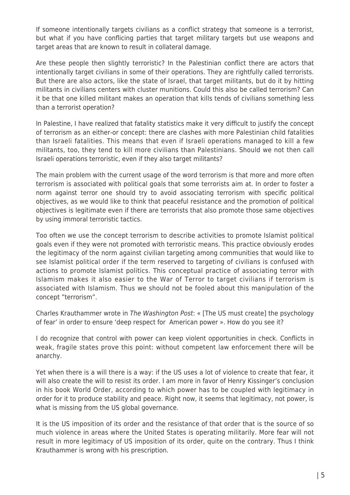If someone intentionally targets civilians as a conflict strategy that someone is a terrorist, but what if you have conflicing parties that target military targets but use weapons and target areas that are known to result in collateral damage.

Are these people then slightly terroristic? In the Palestinian conflict there are actors that intentionally target civilians in some of their operations. They are rightfully called terrorists. But there are also actors, like the state of Israel, that target militants, but do it by hitting militants in civilians centers with cluster munitions. Could this also be called terrorism? Can it be that one killed militant makes an operation that kills tends of civilians something less than a terrorist operation?

In Palestine, I have realized that fatality statistics make it very difficult to justify the concept of terrorism as an either-or concept: there are clashes with more Palestinian child fatalities than Israeli fatalities. This means that even if Israeli operations managed to kill a few militants, too, they tend to kill more civilians than Palestinians. Should we not then call Israeli operations terroristic, even if they also target militants?

The main problem with the current usage of the word terrorism is that more and more often terrorism is associated with political goals that some terrorists aim at. In order to foster a norm against terror one should try to avoid associating terrorism with specific political objectives, as we would like to think that peaceful resistance and the promotion of political objectives is legitimate even if there are terrorists that also promote those same objectives by using immoral terroristic tactics.

Too often we use the concept terrorism to describe activities to promote Islamist political goals even if they were not promoted with terroristic means. This practice obviously erodes the legitimacy of the norm against civilian targeting among communities that would like to see Islamist political order if the term reserved to targeting of civilians is confused with actions to promote Islamist politics. This conceptual practice of associating terror with Islamism makes it also easier to the War of Terror to target civilians if terrorism is associated with Islamism. Thus we should not be fooled about this manipulation of the concept "terrorism".

Charles Krauthammer wrote in The Washington Post: « [The US must create] the psychology of fear' in order to ensure 'deep respect for American power ». How do you see it?

I do recognize that control with power can keep violent opportunities in check. Conflicts in weak, fragile states prove this point: without competent law enforcement there will be anarchy.

Yet when there is a will there is a way: if the US uses a lot of violence to create that fear, it will also create the will to resist its order. I am more in favor of Henry Kissinger's conclusion in his book World Order, according to which power has to be coupled with legitimacy in order for it to produce stability and peace. Right now, it seems that legitimacy, not power, is what is missing from the US global governance.

It is the US imposition of its order and the resistance of that order that is the source of so much violence in areas where the United States is operating militarily. More fear will not result in more legitimacy of US imposition of its order, quite on the contrary. Thus I think Krauthammer is wrong with his prescription.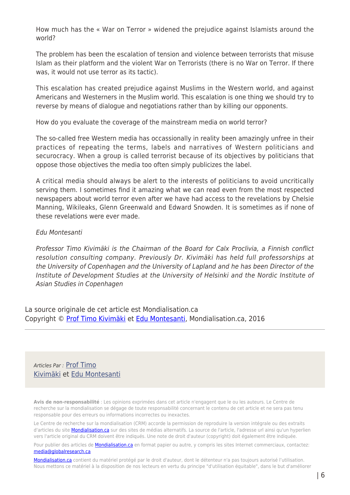How much has the « War on Terror » widened the prejudice against Islamists around the world?

The problem has been the escalation of tension and violence between terrorists that misuse Islam as their platform and the violent War on Terrorists (there is no War on Terror. If there was, it would not use terror as its tactic).

This escalation has created prejudice against Muslims in the Western world, and against Americans and Westerners in the Muslim world. This escalation is one thing we should try to reverse by means of dialogue and negotiations rather than by killing our opponents.

How do you evaluate the coverage of the mainstream media on world terror?

The so-called free Western media has occassionally in reality been amazingly unfree in their practices of repeating the terms, labels and narratives of Western politicians and securocracy. When a group is called terrorist because of its objectives by politicians that oppose those objectives the media too often simply publicizes the label.

A critical media should always be alert to the interests of politicians to avoid uncritically serving them. I sometimes find it amazing what we can read even from the most respected newspapers about world terror even after we have had access to the revelations by Chelsie Manning, Wikileaks, Glenn Greenwald and Edward Snowden. It is sometimes as if none of these revelations were ever made.

## Edu Montesanti

Professor Timo Kivimäki is the Chairman of the Board for Calx Proclivia, a Finnish conflict resolution consulting company. Previously Dr. Kivimäki has held full professorships at the University of Copenhagen and the University of Lapland and he has been Director of the Institute of Development Studies at the University of Helsinki and the Nordic Institute of Asian Studies in Copenhagen

La source originale de cet article est Mondialisation.ca Copyright © [Prof Timo Kivimäki](https://www.mondialisation.ca/author/timo) et [Edu Montesanti](https://www.mondialisation.ca/author/edu-montesanti), Mondialisation.ca, 2016

Articles Par : [Prof Timo](https://www.mondialisation.ca/author/timo) [Kivimäki](https://www.mondialisation.ca/author/timo) et [Edu Montesanti](https://www.mondialisation.ca/author/edu-montesanti)

**Avis de non-responsabilité** : Les opinions exprimées dans cet article n'engagent que le ou les auteurs. Le Centre de recherche sur la mondialisation se dégage de toute responsabilité concernant le contenu de cet article et ne sera pas tenu responsable pour des erreurs ou informations incorrectes ou inexactes.

Le Centre de recherche sur la mondialisation (CRM) accorde la permission de reproduire la version intégrale ou des extraits d'articles du site **Mondialisation.ca** sur des sites de médias alternatifs. La source de l'article, l'adresse url ainsi qu'un hyperlien vers l'article original du CRM doivent être indiqués. Une note de droit d'auteur (copyright) doit également être indiquée.

Pour publier des articles de *[Mondialisation.ca](https://mondialisation.ca)* en format papier ou autre, y compris les sites Internet commerciaux, contactez: [media@globalresearch.ca](mailto:media@globalresearch.ca)

[Mondialisation.ca](https://mondialisation.ca) contient du matériel protégé par le droit d'auteur, dont le détenteur n'a pas toujours autorisé l'utilisation. Nous mettons ce matériel à la disposition de nos lecteurs en vertu du principe "d'utilisation équitable", dans le but d'améliorer